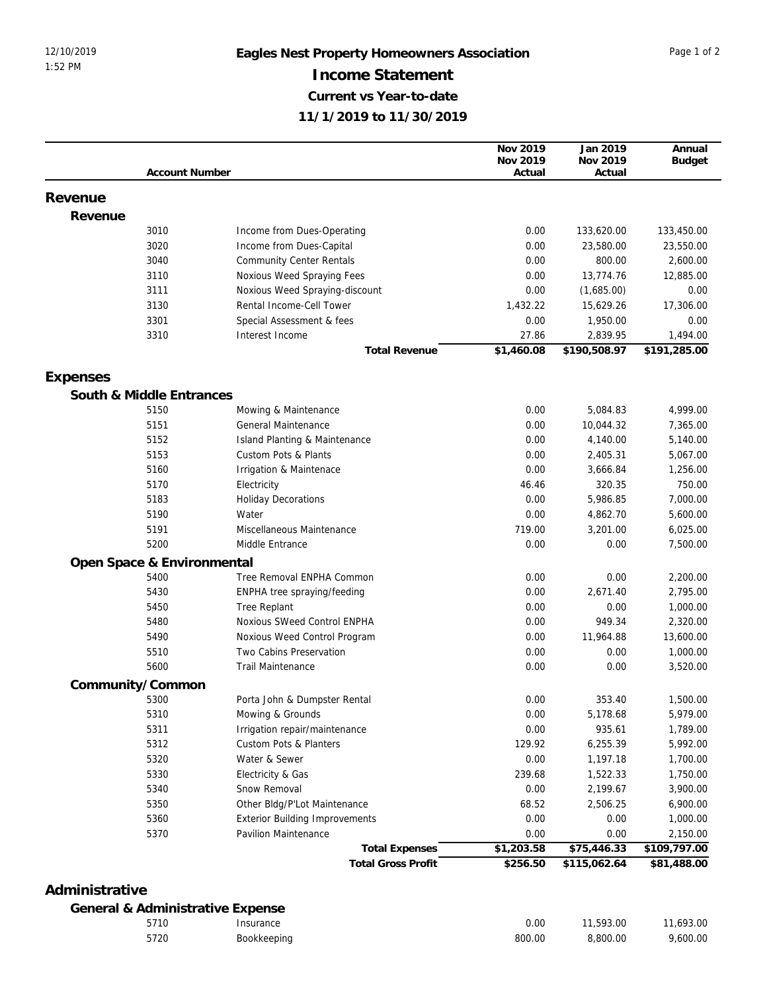|          |                            |                                       | Nov 2019   | Jan 2019     | Annual        |
|----------|----------------------------|---------------------------------------|------------|--------------|---------------|
|          |                            |                                       | Nov 2019   | Nov 2019     | <b>Budget</b> |
|          | <b>Account Number</b>      |                                       | Actual     | Actual       |               |
| Revenue  |                            |                                       |            |              |               |
| Revenue  |                            |                                       |            |              |               |
|          | 3010                       | Income from Dues-Operating            | 0.00       | 133,620.00   | 133,450.00    |
|          | 3020                       | Income from Dues-Capital              | 0.00       | 23,580.00    | 23,550.00     |
|          | 3040                       | <b>Community Center Rentals</b>       | 0.00       | 800.00       | 2,600.00      |
|          | 3110                       | Noxious Weed Spraying Fees            | 0.00       | 13,774.76    | 12,885.00     |
|          | 3111                       | Noxious Weed Spraying-discount        | 0.00       | (1,685.00)   | 0.00          |
|          | 3130                       | Rental Income-Cell Tower              | 1,432.22   | 15,629.26    | 17,306.00     |
|          | 3301                       | Special Assessment & fees             | 0.00       | 1,950.00     | 0.00          |
|          | 3310                       | Interest Income                       | 27.86      | 2,839.95     | 1,494.00      |
|          |                            | <b>Total Revenue</b>                  | \$1,460.08 | \$190,508.97 | \$191,285.00  |
|          |                            |                                       |            |              |               |
| Expenses |                            |                                       |            |              |               |
|          | South & Middle Entrances   |                                       |            |              |               |
|          | 5150                       | Mowing & Maintenance                  | 0.00       | 5,084.83     | 4,999.00      |
|          | 5151                       | General Maintenance                   | 0.00       | 10,044.32    | 7,365.00      |
|          | 5152                       | Island Planting & Maintenance         | 0.00       | 4,140.00     | 5,140.00      |
|          | 5153                       | Custom Pots & Plants                  | 0.00       | 2,405.31     | 5,067.00      |
|          | 5160                       | Irrigation & Maintenace               | 0.00       | 3,666.84     | 1,256.00      |
|          | 5170                       | Electricity                           | 46.46      | 320.35       | 750.00        |
|          | 5183                       | <b>Holiday Decorations</b>            | 0.00       | 5,986.85     | 7,000.00      |
|          | 5190                       | Water                                 | 0.00       | 4,862.70     | 5,600.00      |
|          | 5191                       | Miscellaneous Maintenance             | 719.00     | 3,201.00     | 6,025.00      |
|          | 5200                       | Middle Entrance                       | 0.00       | 0.00         | 7,500.00      |
|          | Open Space & Environmental |                                       |            |              |               |
|          | 5400                       | Tree Removal ENPHA Common             | 0.00       | 0.00         | 2,200.00      |
|          | 5430                       | ENPHA tree spraying/feeding           | 0.00       | 2,671.40     | 2,795.00      |
|          | 5450                       | Tree Replant                          | 0.00       | 0.00         | 1,000.00      |
|          | 5480                       | Noxious SWeed Control ENPHA           | 0.00       | 949.34       | 2,320.00      |
|          | 5490                       | Noxious Weed Control Program          | 0.00       | 11,964.88    | 13,600.00     |
|          | 5510                       | Two Cabins Preservation               | 0.00       | 0.00         | 1,000.00      |
|          | 5600                       | <b>Trail Maintenance</b>              | 0.00       | 0.00         | 3,520.00      |
|          | Community/Common           |                                       |            |              |               |
|          | 5300                       | Porta John & Dumpster Rental          | 0.00       | 353.40       | 1,500.00      |
|          | 5310                       | Mowing & Grounds                      | 0.00       | 5,178.68     | 5,979.00      |
|          | 5311                       | Irrigation repair/maintenance         | 0.00       | 935.61       | 1,789.00      |
|          | 5312                       | Custom Pots & Planters                | 129.92     | 6,255.39     | 5,992.00      |
|          | 5320                       | Water & Sewer                         | 0.00       | 1,197.18     | 1,700.00      |
|          | 5330                       | Electricity & Gas                     | 239.68     | 1,522.33     | 1,750.00      |
|          | 5340                       | Snow Removal                          | 0.00       | 2,199.67     | 3,900.00      |
|          | 5350                       | Other Bldg/P'Lot Maintenance          | 68.52      | 2,506.25     | 6,900.00      |
|          | 5360                       | <b>Exterior Building Improvements</b> | 0.00       | 0.00         | 1,000.00      |
|          | 5370                       | Pavilion Maintenance                  | 0.00       | 0.00         | 2,150.00      |
|          |                            | <b>Total Expenses</b>                 | \$1,203.58 | \$75,446.33  | \$109,797.00  |
|          |                            | <b>Total Gross Profit</b>             | \$256.50   | \$115,062.64 | \$81,488.00   |
|          |                            |                                       |            |              |               |

## **Administrative**

## **General & Administrative Expense**

| 5710 | <i>Insurance</i>   | 0.00   | .593.00  | .693.00  |
|------|--------------------|--------|----------|----------|
| 5720 | <b>Bookkeeping</b> | 800.00 | 8.800.00 | 9.600.00 |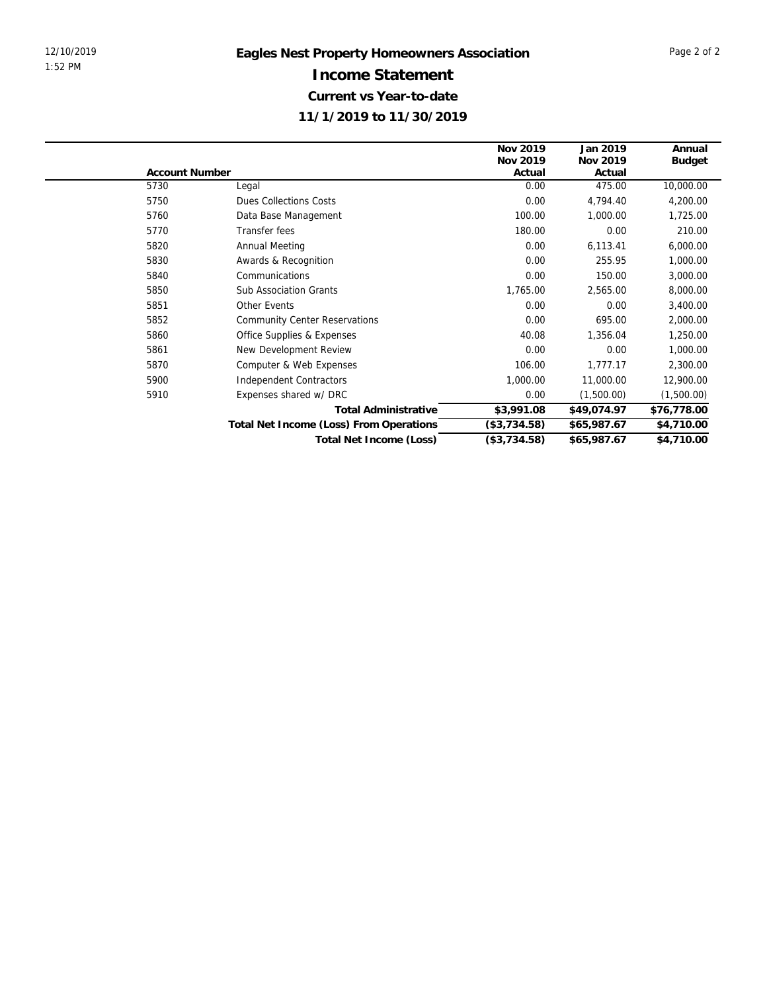|                       |                                         | Nov 2019     | Jan 2019    | Annual        |
|-----------------------|-----------------------------------------|--------------|-------------|---------------|
|                       |                                         | Nov 2019     | Nov 2019    | <b>Budget</b> |
| <b>Account Number</b> |                                         | Actual       | Actual      |               |
| 5730                  | Legal                                   | 0.00         | 475.00      | 10,000.00     |
| 5750                  | <b>Dues Collections Costs</b>           | 0.00         | 4,794.40    | 4,200.00      |
| 5760                  | Data Base Management                    | 100.00       | 1,000.00    | 1,725.00      |
| 5770                  | Transfer fees                           | 180.00       | 0.00        | 210.00        |
| 5820                  | Annual Meeting                          | 0.00         | 6,113.41    | 6,000.00      |
| 5830                  | Awards & Recognition                    | 0.00         | 255.95      | 1,000.00      |
| 5840                  | Communications                          | 0.00         | 150.00      | 3,000.00      |
| 5850                  | <b>Sub Association Grants</b>           | 1,765.00     | 2,565.00    | 8,000.00      |
| 5851                  | Other Events                            | 0.00         | 0.00        | 3,400.00      |
| 5852                  | <b>Community Center Reservations</b>    | 0.00         | 695.00      | 2,000.00      |
| 5860                  | Office Supplies & Expenses              | 40.08        | 1,356.04    | 1,250.00      |
| 5861                  | New Development Review                  | 0.00         | 0.00        | 1,000.00      |
| 5870                  | Computer & Web Expenses                 | 106.00       | 1,777.17    | 2,300.00      |
| 5900                  | <b>Independent Contractors</b>          | 1,000.00     | 11,000.00   | 12,900.00     |
| 5910                  | Expenses shared w/ DRC                  | 0.00         | (1,500.00)  | (1,500.00)    |
|                       | <b>Total Administrative</b>             | \$3,991.08   | \$49,074.97 | \$76,778.00   |
|                       | Total Net Income (Loss) From Operations | (\$3,734.58) | \$65,987.67 | \$4,710.00    |
|                       | Total Net Income (Loss)                 | (\$3,734.58) | \$65,987.67 | \$4,710.00    |